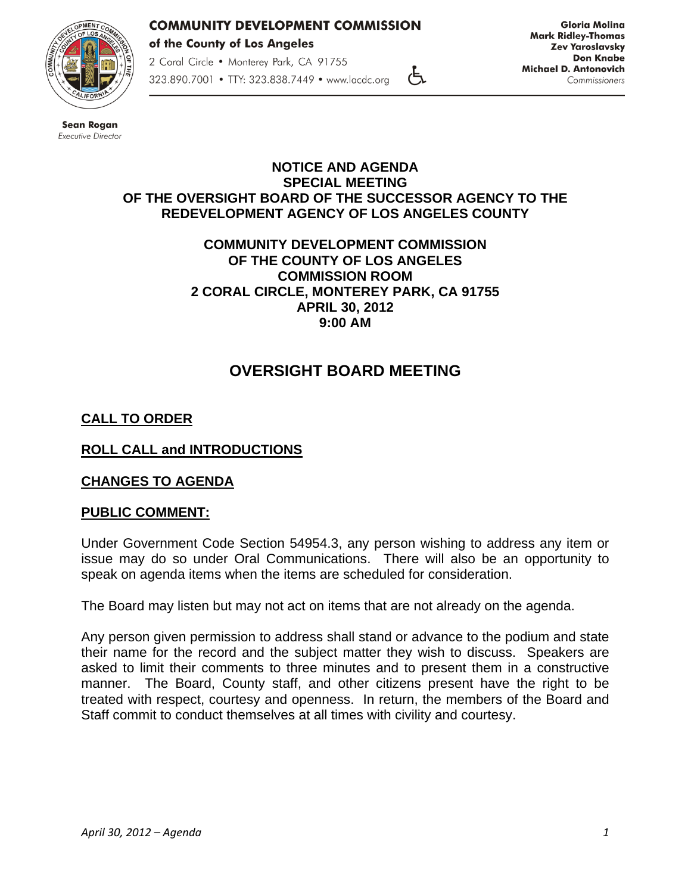

2 Coral Circle . Monterey Park, CA 91755 323.890.7001 • TTY: 323.838.7449 • www.lacdc.org

**Gloria Molina Mark Ridley-Thomas Zev Yaroslavsky Don Knabe Michael D. Antonovich** Commissioners



**Sean Rogan** Executive Director

#### **NOTICE AND AGENDA SPECIAL MEETING OF THE OVERSIGHT BOARD OF THE SUCCESSOR AGENCY TO THE REDEVELOPMENT AGENCY OF LOS ANGELES COUNTY**

رطح

#### **COMMUNITY DEVELOPMENT COMMISSION OF THE COUNTY OF LOS ANGELES COMMISSION ROOM 2 CORAL CIRCLE, MONTEREY PARK, CA 91755 APRIL 30, 2012 9:00 AM**

# **OVERSIGHT BOARD MEETING**

## **CALL TO ORDER**

## **ROLL CALL and INTRODUCTIONS**

### **CHANGES TO AGENDA**

### **PUBLIC COMMENT:**

Under Government Code Section 54954.3, any person wishing to address any item or issue may do so under Oral Communications. There will also be an opportunity to speak on agenda items when the items are scheduled for consideration.

The Board may listen but may not act on items that are not already on the agenda.

Any person given permission to address shall stand or advance to the podium and state their name for the record and the subject matter they wish to discuss. Speakers are asked to limit their comments to three minutes and to present them in a constructive manner. The Board, County staff, and other citizens present have the right to be treated with respect, courtesy and openness. In return, the members of the Board and Staff commit to conduct themselves at all times with civility and courtesy.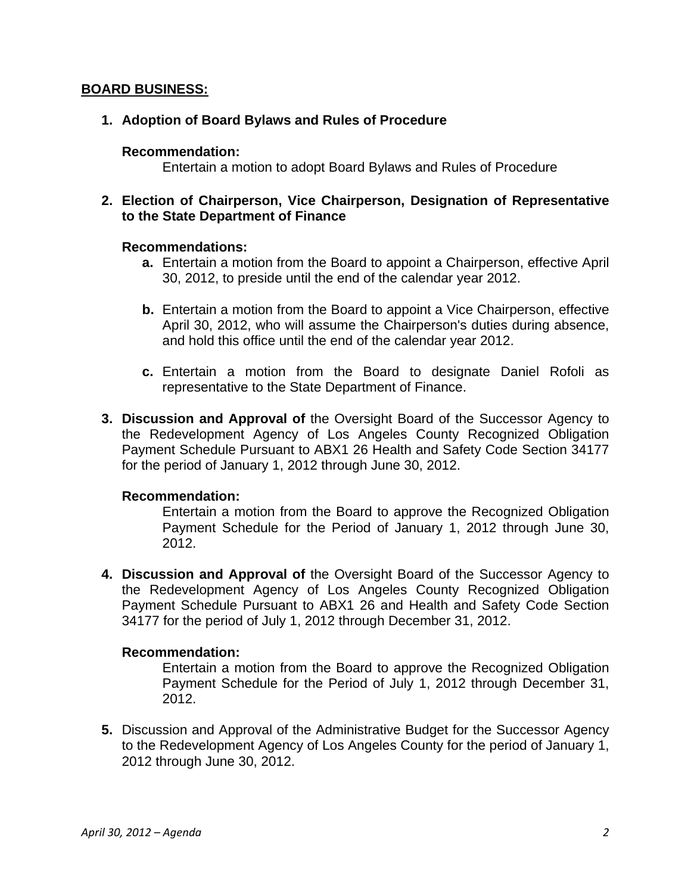#### **BOARD BUSINESS:**

#### **1. Adoption of Board Bylaws and Rules of Procedure**

#### **Recommendation:**

Entertain a motion to adopt Board Bylaws and Rules of Procedure

#### **2. Election of Chairperson, Vice Chairperson, Designation of Representative to the State Department of Finance**

#### **Recommendations:**

- **a.** Entertain a motion from the Board to appoint a Chairperson, effective April 30, 2012, to preside until the end of the calendar year 2012.
- **b.** Entertain a motion from the Board to appoint a Vice Chairperson, effective April 30, 2012, who will assume the Chairperson's duties during absence, and hold this office until the end of the calendar year 2012.
- **c.** Entertain a motion from the Board to designate Daniel Rofoli as representative to the State Department of Finance.
- **3. Discussion and Approval of** the Oversight Board of the Successor Agency to the Redevelopment Agency of Los Angeles County Recognized Obligation Payment Schedule Pursuant to ABX1 26 Health and Safety Code Section 34177 for the period of January 1, 2012 through June 30, 2012.

#### **Recommendation:**

Entertain a motion from the Board to approve the Recognized Obligation Payment Schedule for the Period of January 1, 2012 through June 30, 2012.

**4. Discussion and Approval of** the Oversight Board of the Successor Agency to the Redevelopment Agency of Los Angeles County Recognized Obligation Payment Schedule Pursuant to ABX1 26 and Health and Safety Code Section 34177 for the period of July 1, 2012 through December 31, 2012.

#### **Recommendation:**

Entertain a motion from the Board to approve the Recognized Obligation Payment Schedule for the Period of July 1, 2012 through December 31, 2012.

**5.** Discussion and Approval of the Administrative Budget for the Successor Agency to the Redevelopment Agency of Los Angeles County for the period of January 1, 2012 through June 30, 2012.